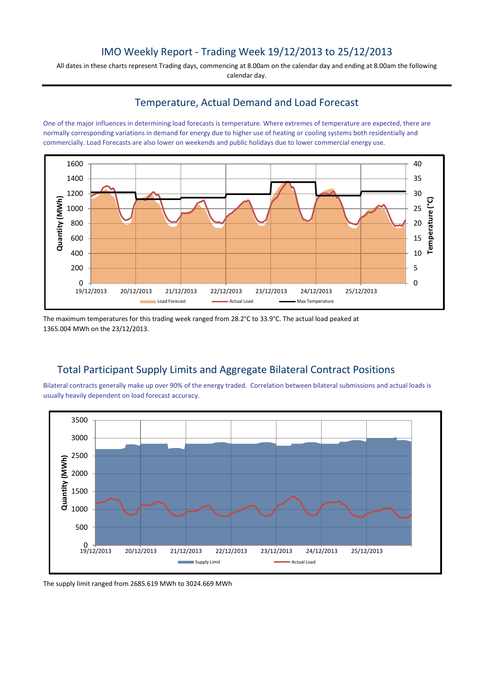# IMO Weekly Report - Trading Week 19/12/2013 to 25/12/2013

All dates in these charts represent Trading days, commencing at 8.00am on the calendar day and ending at 8.00am the following calendar day.

## Temperature, Actual Demand and Load Forecast

One of the major influences in determining load forecasts is temperature. Where extremes of temperature are expected, there are normally corresponding variations in demand for energy due to higher use of heating or cooling systems both residentially and commercially. Load Forecasts are also lower on weekends and public holidays due to lower commercial energy use.



The maximum temperatures for this trading week ranged from 28.2°C to 33.9°C. The actual load peaked at 1365.004 MWh on the 23/12/2013.

## Total Participant Supply Limits and Aggregate Bilateral Contract Positions

Bilateral contracts generally make up over 90% of the energy traded. Correlation between bilateral submissions and actual loads is usually heavily dependent on load forecast accuracy.



The supply limit ranged from 2685.619 MWh to 3024.669 MWh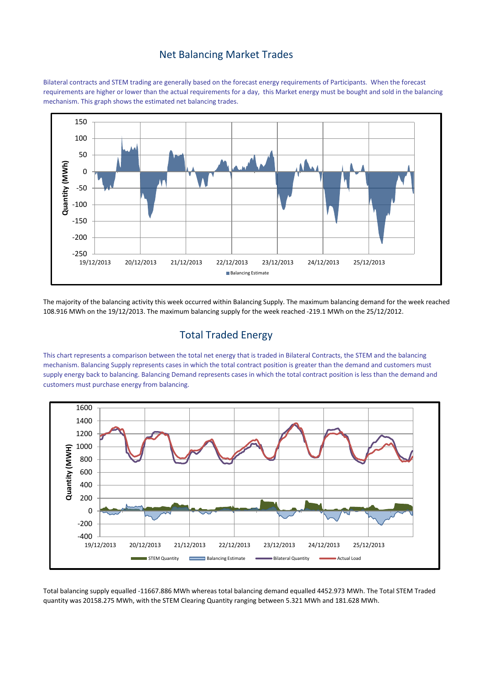#### Net Balancing Market Trades

Bilateral contracts and STEM trading are generally based on the forecast energy requirements of Participants. When the forecast requirements are higher or lower than the actual requirements for a day, this Market energy must be bought and sold in the balancing mechanism. This graph shows the estimated net balancing trades.



The majority of the balancing activity this week occurred within Balancing Supply. The maximum balancing demand for the week reached 108.916 MWh on the 19/12/2013. The maximum balancing supply for the week reached -219.1 MWh on the 25/12/2012.

## Total Traded Energy

This chart represents a comparison between the total net energy that is traded in Bilateral Contracts, the STEM and the balancing mechanism. Balancing Supply represents cases in which the total contract position is greater than the demand and customers must supply energy back to balancing. Balancing Demand represents cases in which the total contract position is less than the demand and customers must purchase energy from balancing.



Total balancing supply equalled -11667.886 MWh whereas total balancing demand equalled 4452.973 MWh. The Total STEM Traded quantity was 20158.275 MWh, with the STEM Clearing Quantity ranging between 5.321 MWh and 181.628 MWh.